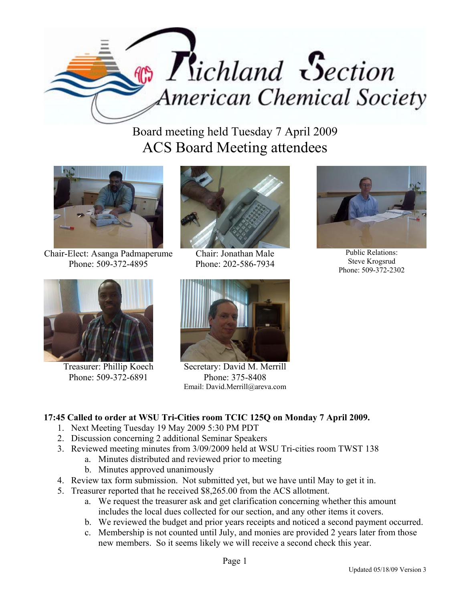

Board meeting held Tuesday 7 April 2009 ACS Board Meeting attendees



Chair-Elect: Asanga Padmaperume Phone: 509-372-4895



Chair: Jonathan Male Phone: 202-586-7934



Public Relations: Steve Krogsrud Phone: 509-372-2302



Treasurer: Phillip Koech Phone: 509-372-6891



Secretary: David M. Merrill Phone: 375-8408 Email: David.Merrill@areva.com

## **17:45 Called to order at WSU Tri-Cities room TCIC 125Q on Monday 7 April 2009.**

- 1. Next Meeting Tuesday 19 May 2009 5:30 PM PDT
- 2. Discussion concerning 2 additional Seminar Speakers
- 3. Reviewed meeting minutes from 3/09/2009 held at WSU Tri-cities room TWST 138
	- a. Minutes distributed and reviewed prior to meeting
		- b. Minutes approved unanimously
- 4. Review tax form submission. Not submitted yet, but we have until May to get it in.
- 5. Treasurer reported that he received \$8,265.00 from the ACS allotment.
	- a. We request the treasurer ask and get clarification concerning whether this amount includes the local dues collected for our section, and any other items it covers.
	- b. We reviewed the budget and prior years receipts and noticed a second payment occurred.
	- c. Membership is not counted until July, and monies are provided 2 years later from those new members. So it seems likely we will receive a second check this year.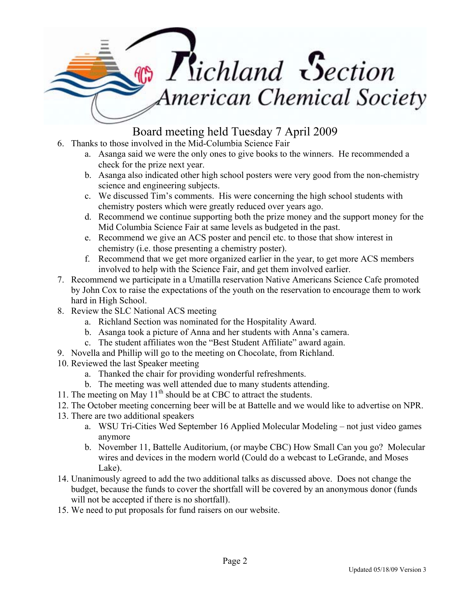## $\mathcal{F}_i$  Tichland Section American Chemical Society

## Board meeting held Tuesday 7 April 2009

- 6. Thanks to those involved in the Mid-Columbia Science Fair
	- a. Asanga said we were the only ones to give books to the winners. He recommended a check for the prize next year.
	- b. Asanga also indicated other high school posters were very good from the non-chemistry science and engineering subjects.
	- c. We discussed Tim's comments. His were concerning the high school students with chemistry posters which were greatly reduced over years ago.
	- d. Recommend we continue supporting both the prize money and the support money for the Mid Columbia Science Fair at same levels as budgeted in the past.
	- e. Recommend we give an ACS poster and pencil etc. to those that show interest in chemistry (i.e. those presenting a chemistry poster).
	- f. Recommend that we get more organized earlier in the year, to get more ACS members involved to help with the Science Fair, and get them involved earlier.
- 7. Recommend we participate in a Umatilla reservation Native Americans Science Cafe promoted by John Cox to raise the expectations of the youth on the reservation to encourage them to work hard in High School.
- 8. Review the SLC National ACS meeting
	- a. Richland Section was nominated for the Hospitality Award.
	- b. Asanga took a picture of Anna and her students with Anna's camera.
	- c. The student affiliates won the "Best Student Affiliate" award again.
- 9. Novella and Phillip will go to the meeting on Chocolate, from Richland.
- 10. Reviewed the last Speaker meeting
	- a. Thanked the chair for providing wonderful refreshments.
	- b. The meeting was well attended due to many students attending.
- 11. The meeting on May  $11<sup>th</sup>$  should be at CBC to attract the students.
- 12. The October meeting concerning beer will be at Battelle and we would like to advertise on NPR.
- 13. There are two additional speakers
	- a. WSU Tri-Cities Wed September 16 Applied Molecular Modeling not just video games anymore
	- b. November 11, Battelle Auditorium, (or maybe CBC) How Small Can you go? Molecular wires and devices in the modern world (Could do a webcast to LeGrande, and Moses Lake).
- 14. Unanimously agreed to add the two additional talks as discussed above. Does not change the budget, because the funds to cover the shortfall will be covered by an anonymous donor (funds will not be accepted if there is no shortfall).
- 15. We need to put proposals for fund raisers on our website.